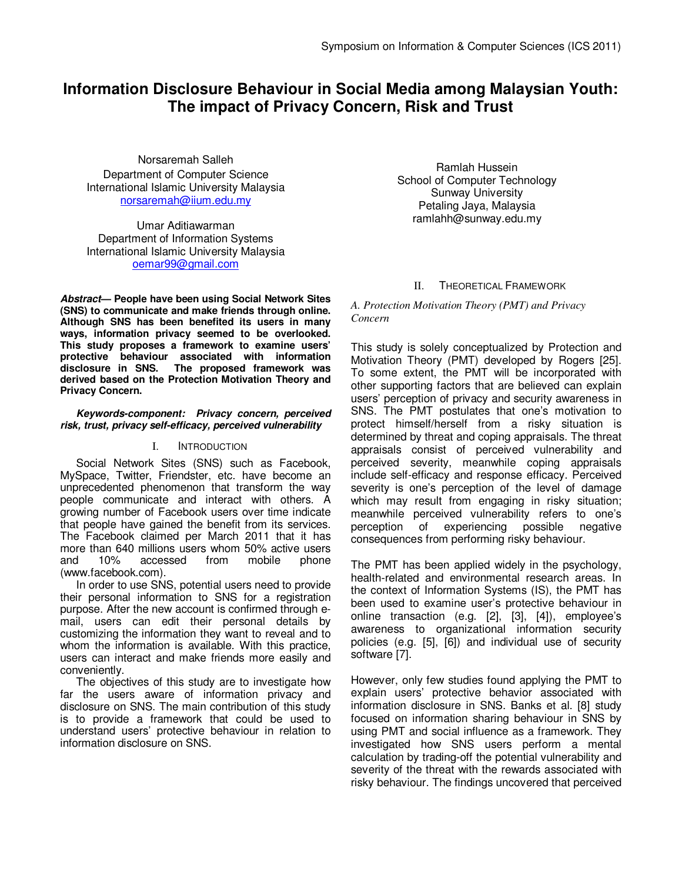# **Information Disclosure Behaviour in Social Media among Malaysian Youth: The impact of Privacy Concern, Risk and Trust**

Norsaremah Salleh Department of Computer Science International Islamic University Malaysia norsaremah@iium.edu.my

Umar Aditiawarman Department of Information Systems International Islamic University Malaysia oemar99@gmail.com

**Abstract— People have been using Social Network Sites (SNS) to communicate and make friends through online. Although SNS has been benefited its users in many ways, information privacy seemed to be overlooked. This study proposes a framework to examine users' protective behaviour associated with information disclosure in SNS. The proposed framework was derived based on the Protection Motivation Theory and Privacy Concern.** 

### **Keywords-component: Privacy concern, perceived risk, trust, privacy self-efficacy, perceived vulnerability**

### I. INTRODUCTION

Social Network Sites (SNS) such as Facebook, MySpace, Twitter, Friendster, etc. have become an unprecedented phenomenon that transform the way people communicate and interact with others. A growing number of Facebook users over time indicate that people have gained the benefit from its services. The Facebook claimed per March 2011 that it has more than 640 millions users whom 50% active users and 10% accessed from mobile phone (www.facebook.com).

In order to use SNS, potential users need to provide their personal information to SNS for a registration purpose. After the new account is confirmed through email, users can edit their personal details by customizing the information they want to reveal and to whom the information is available. With this practice, users can interact and make friends more easily and conveniently.

The objectives of this study are to investigate how far the users aware of information privacy and disclosure on SNS. The main contribution of this study is to provide a framework that could be used to understand users' protective behaviour in relation to information disclosure on SNS.

Ramlah Hussein School of Computer Technology Sunway University Petaling Jaya, Malaysia ramlahh@sunway.edu.my

### II. THEORETICAL FRAMEWORK

*A. Protection Motivation Theory (PMT) and Privacy Concern* 

This study is solely conceptualized by Protection and Motivation Theory (PMT) developed by Rogers [25]. To some extent, the PMT will be incorporated with other supporting factors that are believed can explain users' perception of privacy and security awareness in SNS. The PMT postulates that one's motivation to protect himself/herself from a risky situation is determined by threat and coping appraisals. The threat appraisals consist of perceived vulnerability and perceived severity, meanwhile coping appraisals include self-efficacy and response efficacy. Perceived severity is one's perception of the level of damage which may result from engaging in risky situation; meanwhile perceived vulnerability refers to one's perception of experiencing possible negative consequences from performing risky behaviour.

The PMT has been applied widely in the psychology, health-related and environmental research areas. In the context of Information Systems (IS), the PMT has been used to examine user's protective behaviour in online transaction (e.g. [2], [3], [4]), employee's awareness to organizational information security policies (e.g. [5], [6]) and individual use of security software [7].

However, only few studies found applying the PMT to explain users' protective behavior associated with information disclosure in SNS. Banks et al. [8] study focused on information sharing behaviour in SNS by using PMT and social influence as a framework. They investigated how SNS users perform a mental calculation by trading-off the potential vulnerability and severity of the threat with the rewards associated with risky behaviour. The findings uncovered that perceived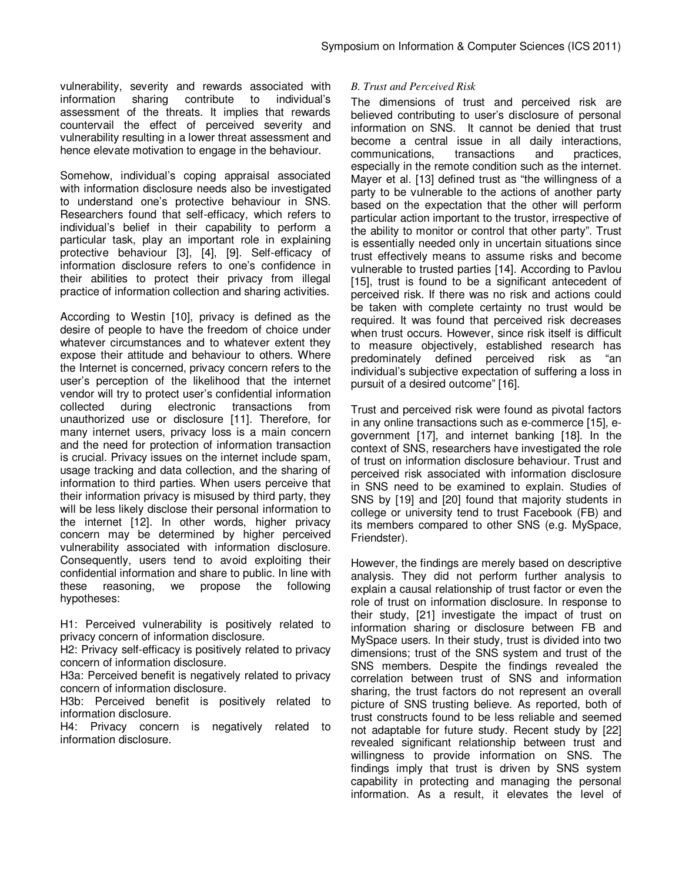vulnerability, severity and rewards associated with information sharing contribute to individual's assessment of the threats. It implies that rewards countervail the effect of perceived severity and vulnerability resulting in a lower threat assessment and hence elevate motivation to engage in the behaviour.

Somehow, individual's coping appraisal associated with information disclosure needs also be investigated to understand one's protective behaviour in SNS. Researchers found that self-efficacy, which refers to individual's belief in their capability to perform a particular task, play an important role in explaining protective behaviour [3], [4], [9]. Self-efficacy of information disclosure refers to one's confidence in their abilities to protect their privacy from illegal practice of information collection and sharing activities.

According to Westin [10], privacy is defined as the desire of people to have the freedom of choice under whatever circumstances and to whatever extent they expose their attitude and behaviour to others. Where the Internet is concerned, privacy concern refers to the user's perception of the likelihood that the internet vendor will try to protect user's confidential information collected during electronic transactions from unauthorized use or disclosure [11]. Therefore, for many internet users, privacy loss is a main concern and the need for protection of information transaction is crucial. Privacy issues on the internet include spam, usage tracking and data collection, and the sharing of information to third parties. When users perceive that their information privacy is misused by third party, they will be less likely disclose their personal information to the internet [12]. In other words, higher privacy concern may be determined by higher perceived vulnerability associated with information disclosure. Consequently, users tend to avoid exploiting their confidential information and share to public. In line with these reasoning, we propose the following hypotheses:

H1: Perceived vulnerability is positively related to privacy concern of information disclosure.

H2: Privacy self-efficacy is positively related to privacy concern of information disclosure.

H3a: Perceived benefit is negatively related to privacy concern of information disclosure.

H3b: Perceived benefit is positively related to information disclosure.

H4: Privacy concern is negatively related to information disclosure.

## *B. Trust and Perceived Risk*

The dimensions of trust and perceived risk are believed contributing to user's disclosure of personal information on SNS. It cannot be denied that trust become a central issue in all daily interactions, communications, transactions and practices, especially in the remote condition such as the internet. Mayer et al. [13] defined trust as "the willingness of a party to be vulnerable to the actions of another party based on the expectation that the other will perform particular action important to the trustor, irrespective of the ability to monitor or control that other party". Trust is essentially needed only in uncertain situations since trust effectively means to assume risks and become vulnerable to trusted parties [14]. According to Pavlou [15], trust is found to be a significant antecedent of perceived risk. If there was no risk and actions could be taken with complete certainty no trust would be required. It was found that perceived risk decreases when trust occurs. However, since risk itself is difficult to measure objectively, established research has predominately defined perceived risk as "an individual's subjective expectation of suffering a loss in pursuit of a desired outcome" [16].

Trust and perceived risk were found as pivotal factors in any online transactions such as e-commerce [15], egovernment [17], and internet banking [18]. In the context of SNS, researchers have investigated the role of trust on information disclosure behaviour. Trust and perceived risk associated with information disclosure in SNS need to be examined to explain. Studies of SNS by [19] and [20] found that majority students in college or university tend to trust Facebook (FB) and its members compared to other SNS (e.g. MySpace, Friendster).

However, the findings are merely based on descriptive analysis. They did not perform further analysis to explain a causal relationship of trust factor or even the role of trust on information disclosure. In response to their study, [21] investigate the impact of trust on information sharing or disclosure between FB and MySpace users. In their study, trust is divided into two dimensions; trust of the SNS system and trust of the SNS members. Despite the findings revealed the correlation between trust of SNS and information sharing, the trust factors do not represent an overall picture of SNS trusting believe. As reported, both of trust constructs found to be less reliable and seemed not adaptable for future study. Recent study by [22] revealed significant relationship between trust and willingness to provide information on SNS. The findings imply that trust is driven by SNS system capability in protecting and managing the personal information. As a result, it elevates the level of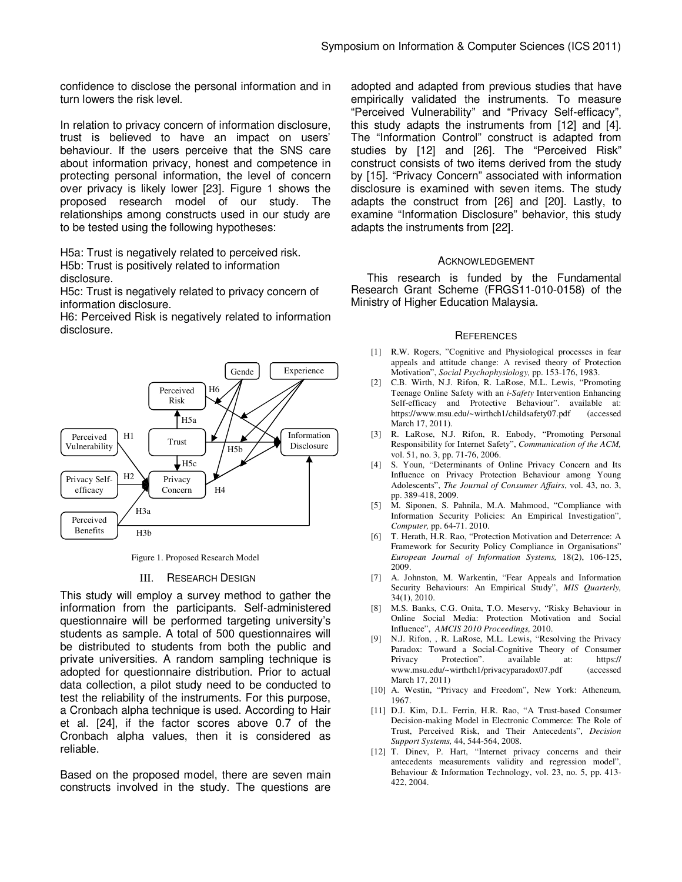confidence to disclose the personal information and in turn lowers the risk level.

In relation to privacy concern of information disclosure, trust is believed to have an impact on users' behaviour. If the users perceive that the SNS care about information privacy, honest and competence in protecting personal information, the level of concern over privacy is likely lower [23]. Figure 1 shows the proposed research model of our study. The relationships among constructs used in our study are to be tested using the following hypotheses:

H5a: Trust is negatively related to perceived risk. H5b: Trust is positively related to information disclosure.

H5c: Trust is negatively related to privacy concern of information disclosure.

H6: Perceived Risk is negatively related to information disclosure.



Figure 1. Proposed Research Model

#### III. RESEARCH DESIGN

This study will employ a survey method to gather the information from the participants. Self-administered questionnaire will be performed targeting university's students as sample. A total of 500 questionnaires will be distributed to students from both the public and private universities. A random sampling technique is adopted for questionnaire distribution. Prior to actual data collection, a pilot study need to be conducted to test the reliability of the instruments. For this purpose, a Cronbach alpha technique is used. According to Hair et al. [24], if the factor scores above 0.7 of the Cronbach alpha values, then it is considered as reliable.

Based on the proposed model, there are seven main constructs involved in the study. The questions are

adopted and adapted from previous studies that have empirically validated the instruments. To measure "Perceived Vulnerability" and "Privacy Self-efficacy", this study adapts the instruments from [12] and [4]. The "Information Control" construct is adapted from studies by [12] and [26]. The "Perceived Risk" construct consists of two items derived from the study by [15]. "Privacy Concern" associated with information disclosure is examined with seven items. The study adapts the construct from [26] and [20]. Lastly, to examine "Information Disclosure" behavior, this study adapts the instruments from [22].

#### ACKNOWLEDGEMENT

This research is funded by the Fundamental Research Grant Scheme (FRGS11-010-0158) of the Ministry of Higher Education Malaysia.

#### **REFERENCES**

- [1] R.W. Rogers, "Cognitive and Physiological processes in fear appeals and attitude change: A revised theory of Protection Motivation", *Social Psychophysiology,* pp. 153-176, 1983.
- [2] C.B. Wirth, N.J. Rifon, R. LaRose, M.L. Lewis, "Promoting Teenage Online Safety with an *i-Safety* Intervention Enhancing Self-efficacy and Protective Behaviour". available at: https://www.msu.edu/~wirthch1/childsafety07.pdf (accessed March 17, 2011).
- [3] R. LaRose, N.J. Rifon, R. Enbody, "Promoting Personal Responsibility for Internet Safety", *Communication of the ACM,*  vol. 51, no. 3, pp. 71-76, 2006.
- [4] S. Youn, "Determinants of Online Privacy Concern and Its Influence on Privacy Protection Behaviour among Young Adolescents", *The Journal of Consumer Affairs*, vol. 43, no. 3, pp. 389-418, 2009.
- [5] M. Siponen, S. Pahnila, M.A. Mahmood, "Compliance with Information Security Policies: An Empirical Investigation", *Computer,* pp. 64-71. 2010.
- [6] T. Herath, H.R. Rao, "Protection Motivation and Deterrence: A Framework for Security Policy Compliance in Organisations" *European Journal of Information Systems,* 18(2), 106-125, 2009.
- [7] A. Johnston, M. Warkentin, "Fear Appeals and Information Security Behaviours: An Empirical Study", *MIS Quarterly,*  34(1), 2010.
- [8] M.S. Banks, C.G. Onita, T.O. Meservy, "Risky Behaviour in Online Social Media: Protection Motivation and Social Influence", *AMCIS 2010 Proceedings,* 2010.
- [9] N.J. Rifon, , R. LaRose, M.L. Lewis, "Resolving the Privacy Paradox: Toward a Social-Cognitive Theory of Consumer<br>Privacy Protection". available at: https:// Protection". available at: www.msu.edu/~wirthch1/privacyparadox07.pdf (accessed March 17, 2011)
- [10] A. Westin, "Privacy and Freedom", New York: Atheneum, 1967.
- [11] D.J. Kim, D.L. Ferrin, H.R. Rao, "A Trust-based Consumer Decision-making Model in Electronic Commerce: The Role of Trust, Perceived Risk, and Their Antecedents", *Decision Support Systems,* 44, 544-564, 2008.
- [12] T. Dinev, P. Hart, "Internet privacy concerns and their antecedents measurements validity and regression model", Behaviour & Information Technology, vol. 23, no. 5, pp. 413- 422, 2004.